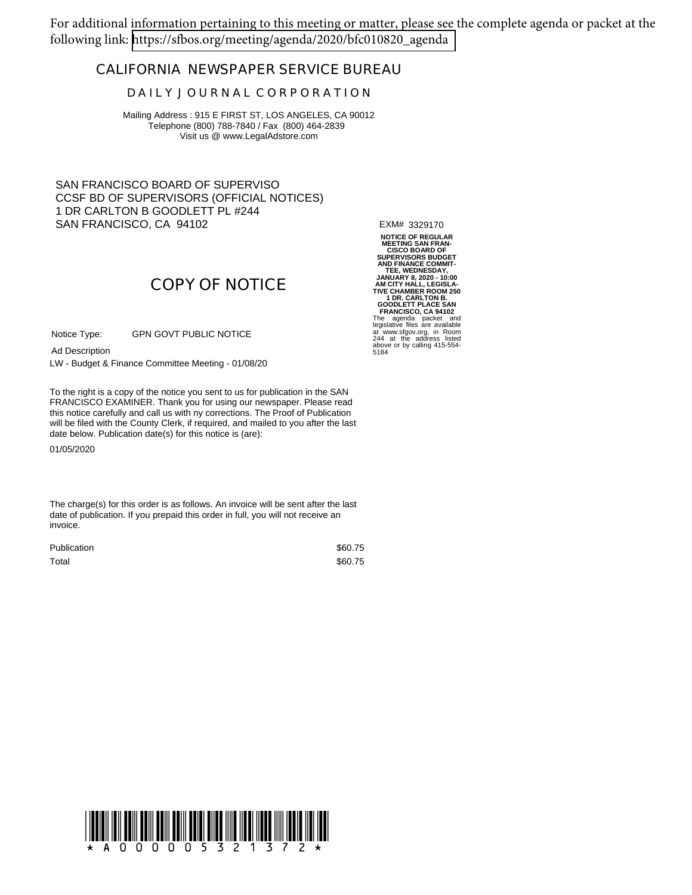For additional information pertaining to this meeting or matter, please see the complete agenda or packet at the following link: [https://sfbos.org/meeting/agenda/2020/bfc010820\\_agenda](https://sfbos.org/meeting/agenda/2020/bfc010820_agenda)

### **CALIFORNIA NEWSPAPER SERVICE BUREAU**

#### **D A I L Y J O U R N A L C O R P O R A T I O N**

Mailing Address : 915 E FIRST ST, LOS ANGELES, CA 90012 Telephone (800) 788-7840 / Fax (800) 464-2839 Visit us @ www.LegalAdstore.com

SAN FRANCISCO BOARD OF SUPERVISO CCSF BD OF SUPERVISORS (OFFICIAL NOTICES) 1 DR CARLTON B GOODLETT PL #244 SAN FRANCISCO, CA 94102

EXM# 3329170

# **COPY OF NOTICE**

GPN GOVT PUBLIC NOTICE Notice Type:

Ad Description

LW - Budget & Finance Committee Meeting - 01/08/20

FRANCISCO EXAMINER. Thank you for using our newspaper. Please read<br>this notice carefully and call us with ny corrections. The Proof of Publication To the right is a copy of the notice you sent to us for publication in the SAN FRANCISCO EXAMINER. Thank you for using our newspaper. Please read will be filed with the County Clerk, if required, and mailed to you after the last date below. Publication date(s) for this notice is (are):

01/05/2020

The charge(s) for this order is as follows. An invoice will be sent after the last date of publication. If you prepaid this order in full, you will not receive an invoice.

| <b>Publication</b> | \$60.75 |
|--------------------|---------|
| Total              | \$60.75 |

**NOTICE OF REGULAR MEETING SAN FRAN-<br>
SUPERVISORS BUDGET<br>
AND FINANCE COMMIT-<br>
TEE, WEDNESDAY,<br>
JANUARY 8, 2020 - 10:00<br>
JANUARY 8, 2020 - 10:00<br>
AM CITY HALL, LEGISLA-<br>
AM CITY HALL, LEGISLA-<br>
TIVE CHAMBER ROOM 250 1 DR. CARLTON B. GOODLETT PLACE SAN FRANCISCO, CA 94102** The agenda packet and legislative files are available at www.sfgov.org, in Room 244 at the address listed above or by calling 415-554- 5184